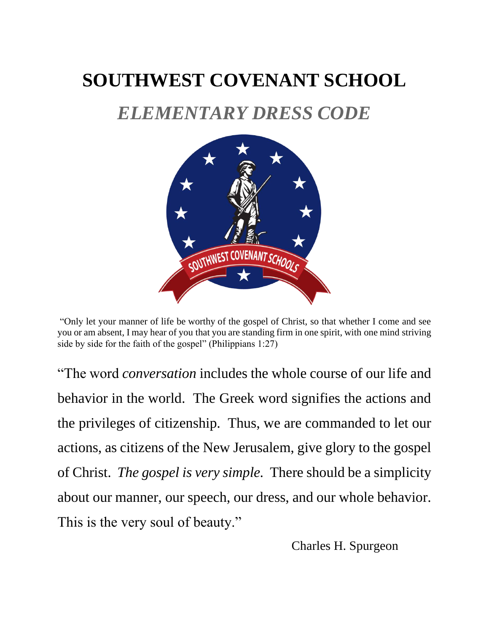# **SOUTHWEST COVENANT SCHOOL**

## *ELEMENTARY DRESS CODE*



"Only let your manner of life be worthy of the gospel of Christ, so that whether I come and see you or am absent, I may hear of you that you are standing firm in one spirit, with one mind striving side by side for the faith of the gospel" (Philippians 1:27)

"The word *conversation* includes the whole course of our life and behavior in the world. The Greek word signifies the actions and the privileges of citizenship. Thus, we are commanded to let our actions, as citizens of the New Jerusalem, give glory to the gospel of Christ. *The gospel is very simple.* There should be a simplicity about our manner, our speech, our dress, and our whole behavior. This is the very soul of beauty."

Charles H. Spurgeon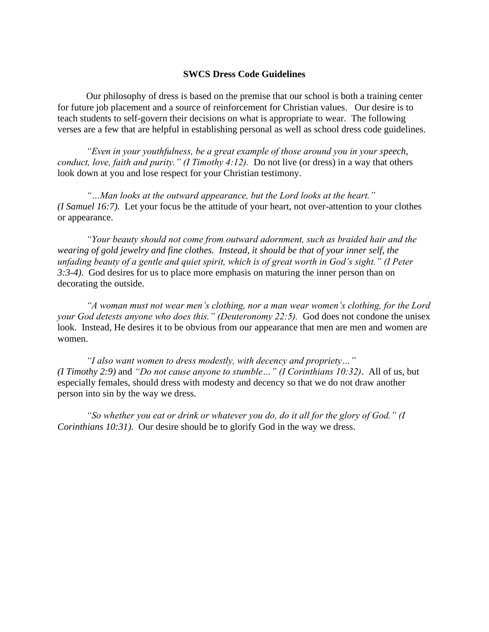#### **SWCS Dress Code Guidelines**

Our philosophy of dress is based on the premise that our school is both a training center for future job placement and a source of reinforcement for Christian values. Our desire is to teach students to self-govern their decisions on what is appropriate to wear. The following verses are a few that are helpful in establishing personal as well as school dress code guidelines.

*"Even in your youthfulness, be a great example of those around you in your speech, conduct, love, faith and purity." (I Timothy 4:12).* Do not live (or dress) in a way that others look down at you and lose respect for your Christian testimony.

*"…Man looks at the outward appearance, but the Lord looks at the heart." (I Samuel 16:7).* Let your focus be the attitude of your heart, not over-attention to your clothes or appearance.

*"Your beauty should not come from outward adornment, such as braided hair and the wearing of gold jewelry and fine clothes. Instead, it should be that of your inner self, the unfading beauty of a gentle and quiet spirit, which is of great worth in God's sight." (I Peter 3:3-4)*. God desires for us to place more emphasis on maturing the inner person than on decorating the outside.

*"A woman must not wear men's clothing, nor a man wear women's clothing, for the Lord your God detests anyone who does this." (Deuteronomy 22:5).* God does not condone the unisex look. Instead, He desires it to be obvious from our appearance that men are men and women are women.

*"I also want women to dress modestly, with decency and propriety…" (I Timothy 2:9)* and *"Do not cause anyone to stumble…" (I Corinthians 10:32)*. All of us, but especially females, should dress with modesty and decency so that we do not draw another person into sin by the way we dress.

*"So whether you eat or drink or whatever you do, do it all for the glory of God." (I Corinthians 10:31).* Our desire should be to glorify God in the way we dress.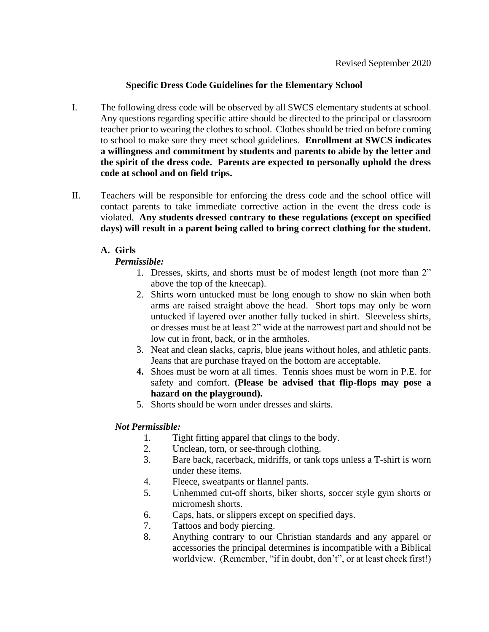### **Specific Dress Code Guidelines for the Elementary School**

- I. The following dress code will be observed by all SWCS elementary students at school. Any questions regarding specific attire should be directed to the principal or classroom teacher prior to wearing the clothes to school. Clothes should be tried on before coming to school to make sure they meet school guidelines. **Enrollment at SWCS indicates a willingness and commitment by students and parents to abide by the letter and the spirit of the dress code. Parents are expected to personally uphold the dress code at school and on field trips.**
- II. Teachers will be responsible for enforcing the dress code and the school office will contact parents to take immediate corrective action in the event the dress code is violated. **Any students dressed contrary to these regulations (except on specified days) will result in a parent being called to bring correct clothing for the student.**

## **A. Girls**

*Permissible:*

- 1. Dresses, skirts, and shorts must be of modest length (not more than 2" above the top of the kneecap).
- 2. Shirts worn untucked must be long enough to show no skin when both arms are raised straight above the head. Short tops may only be worn untucked if layered over another fully tucked in shirt. Sleeveless shirts, or dresses must be at least 2" wide at the narrowest part and should not be low cut in front, back, or in the armholes.
- 3. Neat and clean slacks, capris, blue jeans without holes, and athletic pants. Jeans that are purchase frayed on the bottom are acceptable.
- **4.** Shoes must be worn at all times. Tennis shoes must be worn in P.E. for safety and comfort. **(Please be advised that flip-flops may pose a hazard on the playground).**
- 5. Shorts should be worn under dresses and skirts.

## *Not Permissible:*

- 1. Tight fitting apparel that clings to the body.
- 2. Unclean, torn, or see-through clothing.
- 3. Bare back, racerback, midriffs, or tank tops unless a T-shirt is worn under these items.
- 4. Fleece, sweatpants or flannel pants.
- 5. Unhemmed cut-off shorts, biker shorts, soccer style gym shorts or micromesh shorts.
- 6. Caps, hats, or slippers except on specified days.
- 7. Tattoos and body piercing.
- 8. Anything contrary to our Christian standards and any apparel or accessories the principal determines is incompatible with a Biblical worldview. (Remember, "if in doubt, don't", or at least check first!)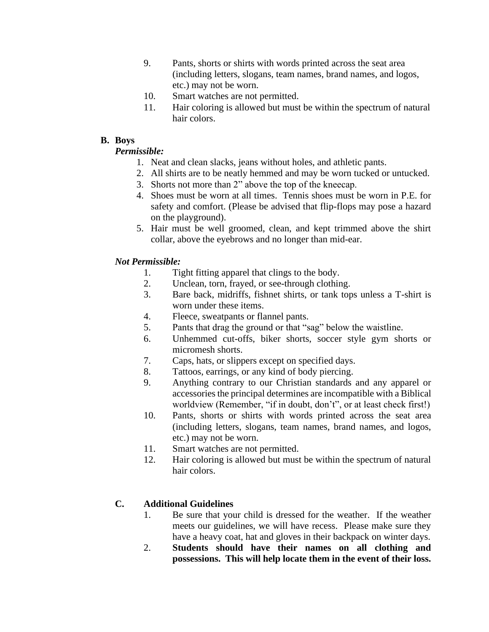- 9. Pants, shorts or shirts with words printed across the seat area (including letters, slogans, team names, brand names, and logos, etc.) may not be worn.
- 10. Smart watches are not permitted.
- 11. Hair coloring is allowed but must be within the spectrum of natural hair colors.

#### **B. Boys**

## *Permissible:*

- 1. Neat and clean slacks, jeans without holes, and athletic pants.
- 2. All shirts are to be neatly hemmed and may be worn tucked or untucked.
- 3. Shorts not more than 2" above the top of the kneecap.
- 4. Shoes must be worn at all times. Tennis shoes must be worn in P.E. for safety and comfort. (Please be advised that flip-flops may pose a hazard on the playground).
- 5. Hair must be well groomed, clean, and kept trimmed above the shirt collar, above the eyebrows and no longer than mid-ear.

## *Not Permissible:*

- 1. Tight fitting apparel that clings to the body.
- 2. Unclean, torn, frayed, or see-through clothing.
- 3. Bare back, midriffs, fishnet shirts, or tank tops unless a T-shirt is worn under these items.
- 4. Fleece, sweatpants or flannel pants.
- 5. Pants that drag the ground or that "sag" below the waistline.
- 6. Unhemmed cut-offs, biker shorts, soccer style gym shorts or micromesh shorts.
- 7. Caps, hats, or slippers except on specified days.
- 8. Tattoos, earrings, or any kind of body piercing.
- 9. Anything contrary to our Christian standards and any apparel or accessories the principal determines are incompatible with a Biblical worldview (Remember, "if in doubt, don't", or at least check first!)
- 10. Pants, shorts or shirts with words printed across the seat area (including letters, slogans, team names, brand names, and logos, etc.) may not be worn.
- 11. Smart watches are not permitted.
- 12. Hair coloring is allowed but must be within the spectrum of natural hair colors.

## **C. Additional Guidelines**

- 1. Be sure that your child is dressed for the weather. If the weather meets our guidelines, we will have recess. Please make sure they have a heavy coat, hat and gloves in their backpack on winter days.
- 2. **Students should have their names on all clothing and possessions. This will help locate them in the event of their loss.**